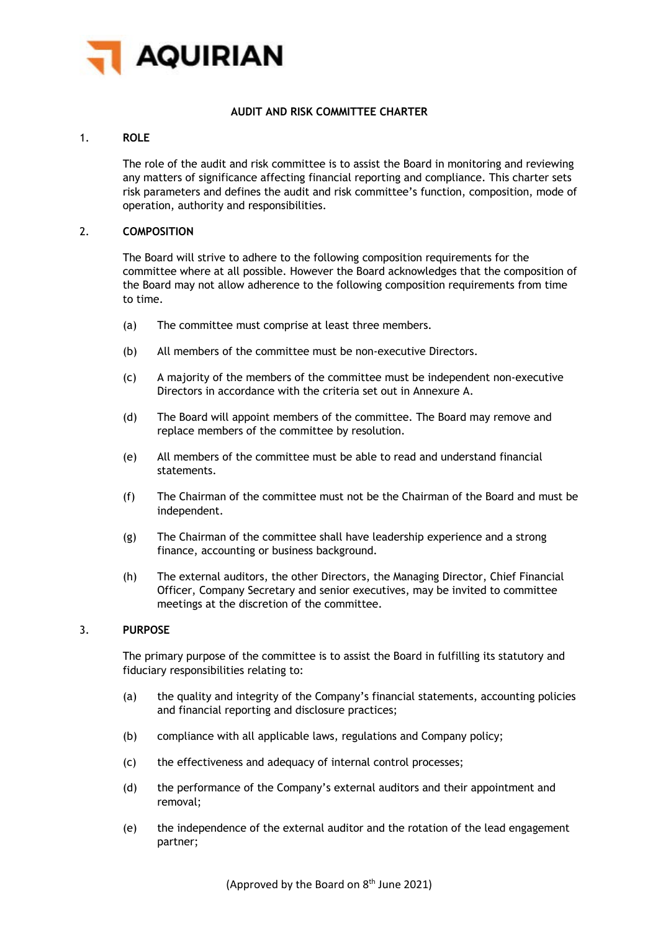

# **AUDIT AND RISK COMMITTEE CHARTER**

# 1. **ROLE**

The role of the audit and risk committee is to assist the Board in monitoring and reviewing any matters of significance affecting financial reporting and compliance. This charter sets risk parameters and defines the audit and risk committee's function, composition, mode of operation, authority and responsibilities.

### 2. **COMPOSITION**

The Board will strive to adhere to the following composition requirements for the committee where at all possible. However the Board acknowledges that the composition of the Board may not allow adherence to the following composition requirements from time to time.

- (a) The committee must comprise at least three members.
- (b) All members of the committee must be non-executive Directors.
- (c) A majority of the members of the committee must be independent non-executive Directors in accordance with the criteria set out in Annexure A.
- (d) The Board will appoint members of the committee. The Board may remove and replace members of the committee by resolution.
- (e) All members of the committee must be able to read and understand financial statements.
- (f) The Chairman of the committee must not be the Chairman of the Board and must be independent.
- (g) The Chairman of the committee shall have leadership experience and a strong finance, accounting or business background.
- (h) The external auditors, the other Directors, the Managing Director, Chief Financial Officer, Company Secretary and senior executives, may be invited to committee meetings at the discretion of the committee.

# 3. **PURPOSE**

The primary purpose of the committee is to assist the Board in fulfilling its statutory and fiduciary responsibilities relating to:

- (a) the quality and integrity of the Company's financial statements, accounting policies and financial reporting and disclosure practices;
- (b) compliance with all applicable laws, regulations and Company policy;
- (c) the effectiveness and adequacy of internal control processes;
- (d) the performance of the Company's external auditors and their appointment and removal;
- (e) the independence of the external auditor and the rotation of the lead engagement partner;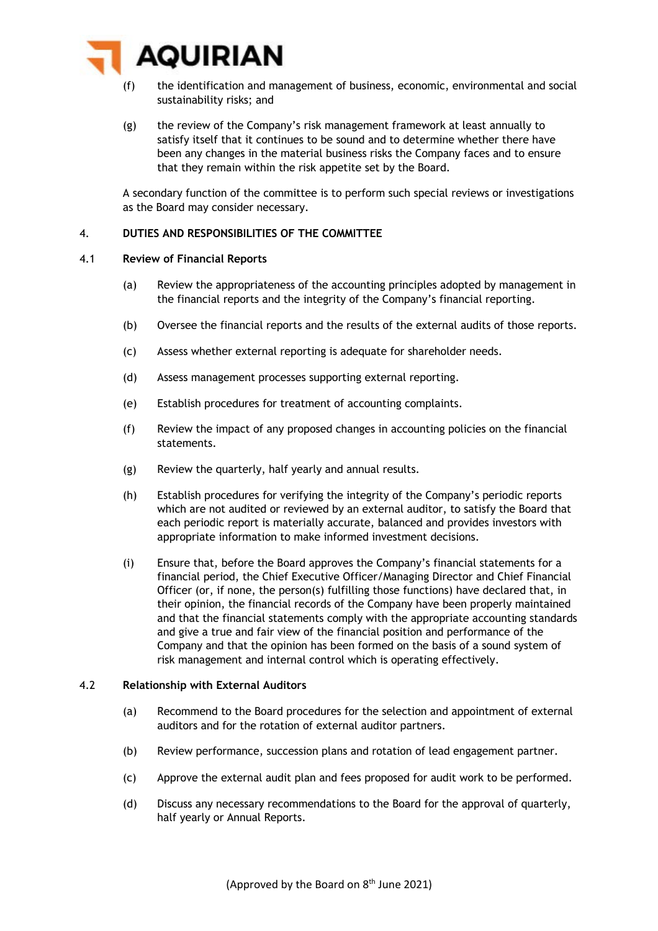

- (f) the identification and management of business, economic, environmental and social sustainability risks; and
- (g) the review of the Company's risk management framework at least annually to satisfy itself that it continues to be sound and to determine whether there have been any changes in the material business risks the Company faces and to ensure that they remain within the risk appetite set by the Board.

A secondary function of the committee is to perform such special reviews or investigations as the Board may consider necessary.

### 4. **DUTIES AND RESPONSIBILITIES OF THE COMMITTEE**

## 4.1 **Review of Financial Reports**

- (a) Review the appropriateness of the accounting principles adopted by management in the financial reports and the integrity of the Company's financial reporting.
- (b) Oversee the financial reports and the results of the external audits of those reports.
- (c) Assess whether external reporting is adequate for shareholder needs.
- (d) Assess management processes supporting external reporting.
- (e) Establish procedures for treatment of accounting complaints.
- (f) Review the impact of any proposed changes in accounting policies on the financial statements.
- (g) Review the quarterly, half yearly and annual results.
- (h) Establish procedures for verifying the integrity of the Company's periodic reports which are not audited or reviewed by an external auditor, to satisfy the Board that each periodic report is materially accurate, balanced and provides investors with appropriate information to make informed investment decisions.
- (i) Ensure that, before the Board approves the Company's financial statements for a financial period, the Chief Executive Officer/Managing Director and Chief Financial Officer (or, if none, the person(s) fulfilling those functions) have declared that, in their opinion, the financial records of the Company have been properly maintained and that the financial statements comply with the appropriate accounting standards and give a true and fair view of the financial position and performance of the Company and that the opinion has been formed on the basis of a sound system of risk management and internal control which is operating effectively.

#### 4.2 **Relationship with External Auditors**

- (a) Recommend to the Board procedures for the selection and appointment of external auditors and for the rotation of external auditor partners.
- (b) Review performance, succession plans and rotation of lead engagement partner.
- (c) Approve the external audit plan and fees proposed for audit work to be performed.
- (d) Discuss any necessary recommendations to the Board for the approval of quarterly, half yearly or Annual Reports.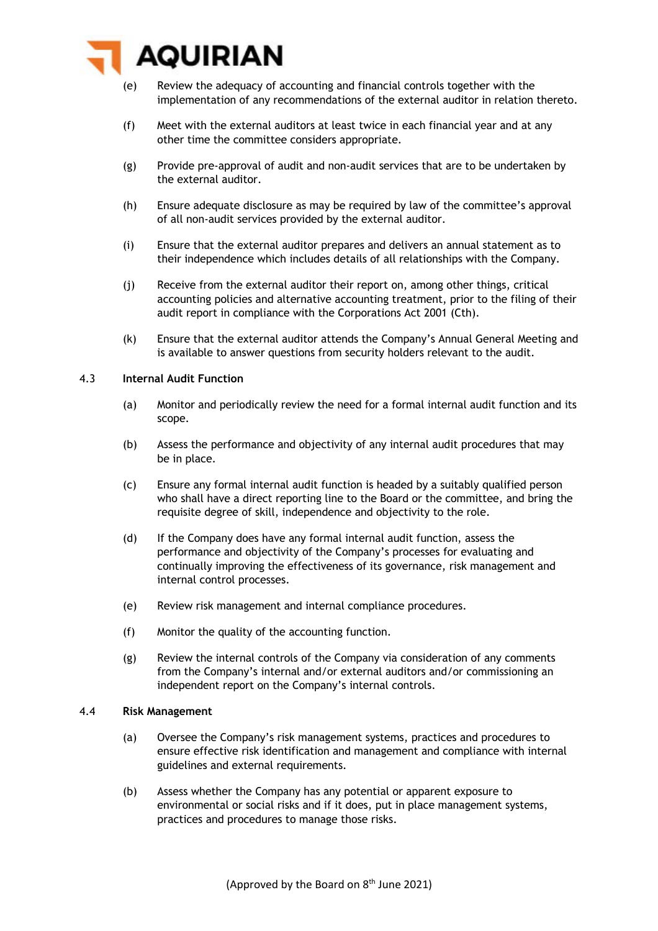

- (e) Review the adequacy of accounting and financial controls together with the implementation of any recommendations of the external auditor in relation thereto.
- (f) Meet with the external auditors at least twice in each financial year and at any other time the committee considers appropriate.
- (g) Provide pre-approval of audit and non-audit services that are to be undertaken by the external auditor.
- (h) Ensure adequate disclosure as may be required by law of the committee's approval of all non-audit services provided by the external auditor.
- (i) Ensure that the external auditor prepares and delivers an annual statement as to their independence which includes details of all relationships with the Company.
- (j) Receive from the external auditor their report on, among other things, critical accounting policies and alternative accounting treatment, prior to the filing of their audit report in compliance with the Corporations Act 2001 (Cth).
- (k) Ensure that the external auditor attends the Company's Annual General Meeting and is available to answer questions from security holders relevant to the audit.

#### 4.3 **Internal Audit Function**

- (a) Monitor and periodically review the need for a formal internal audit function and its scope.
- (b) Assess the performance and objectivity of any internal audit procedures that may be in place.
- (c) Ensure any formal internal audit function is headed by a suitably qualified person who shall have a direct reporting line to the Board or the committee, and bring the requisite degree of skill, independence and objectivity to the role.
- (d) If the Company does have any formal internal audit function, assess the performance and objectivity of the Company's processes for evaluating and continually improving the effectiveness of its governance, risk management and internal control processes.
- (e) Review risk management and internal compliance procedures.
- (f) Monitor the quality of the accounting function.
- (g) Review the internal controls of the Company via consideration of any comments from the Company's internal and/or external auditors and/or commissioning an independent report on the Company's internal controls.

#### 4.4 **Risk Management**

- (a) Oversee the Company's risk management systems, practices and procedures to ensure effective risk identification and management and compliance with internal guidelines and external requirements.
- (b) Assess whether the Company has any potential or apparent exposure to environmental or social risks and if it does, put in place management systems, practices and procedures to manage those risks.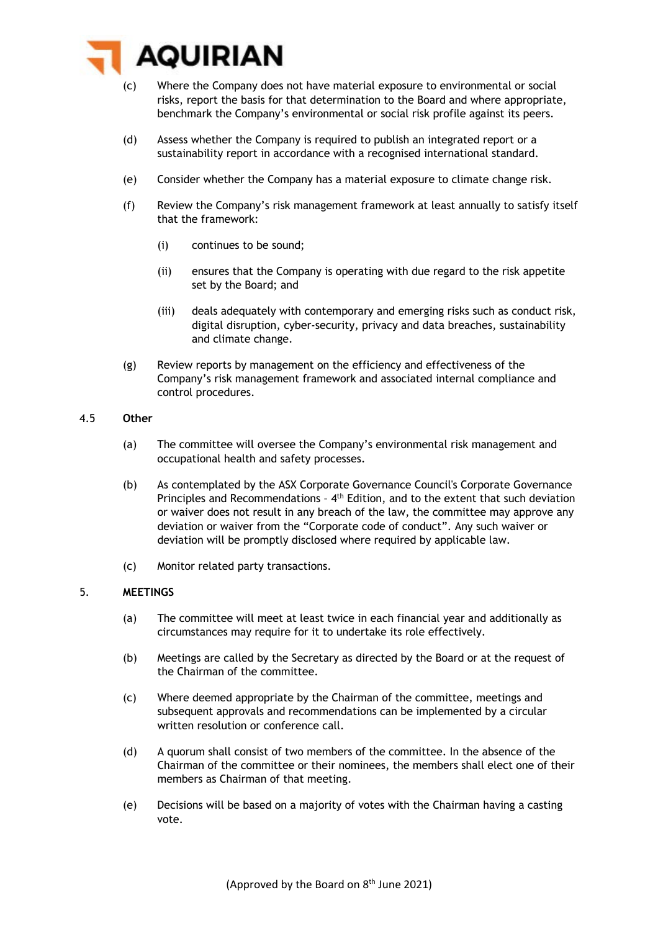

- (c) Where the Company does not have material exposure to environmental or social risks, report the basis for that determination to the Board and where appropriate, benchmark the Company's environmental or social risk profile against its peers.
- (d) Assess whether the Company is required to publish an integrated report or a sustainability report in accordance with a recognised international standard.
- (e) Consider whether the Company has a material exposure to climate change risk.
- (f) Review the Company's risk management framework at least annually to satisfy itself that the framework:
	- (i) continues to be sound;
	- (ii) ensures that the Company is operating with due regard to the risk appetite set by the Board; and
	- (iii) deals adequately with contemporary and emerging risks such as conduct risk, digital disruption, cyber-security, privacy and data breaches, sustainability and climate change.
- (g) Review reports by management on the efficiency and effectiveness of the Company's risk management framework and associated internal compliance and control procedures.

## 4.5 **Other**

- (a) The committee will oversee the Company's environmental risk management and occupational health and safety processes.
- (b) As contemplated by the ASX Corporate Governance Council's Corporate Governance Principles and Recommendations - 4<sup>th</sup> Edition, and to the extent that such deviation or waiver does not result in any breach of the law, the committee may approve any deviation or waiver from the "Corporate code of conduct". Any such waiver or deviation will be promptly disclosed where required by applicable law.
- (c) Monitor related party transactions.

# 5. **MEETINGS**

- (a) The committee will meet at least twice in each financial year and additionally as circumstances may require for it to undertake its role effectively.
- (b) Meetings are called by the Secretary as directed by the Board or at the request of the Chairman of the committee.
- (c) Where deemed appropriate by the Chairman of the committee, meetings and subsequent approvals and recommendations can be implemented by a circular written resolution or conference call.
- (d) A quorum shall consist of two members of the committee. In the absence of the Chairman of the committee or their nominees, the members shall elect one of their members as Chairman of that meeting.
- (e) Decisions will be based on a majority of votes with the Chairman having a casting vote.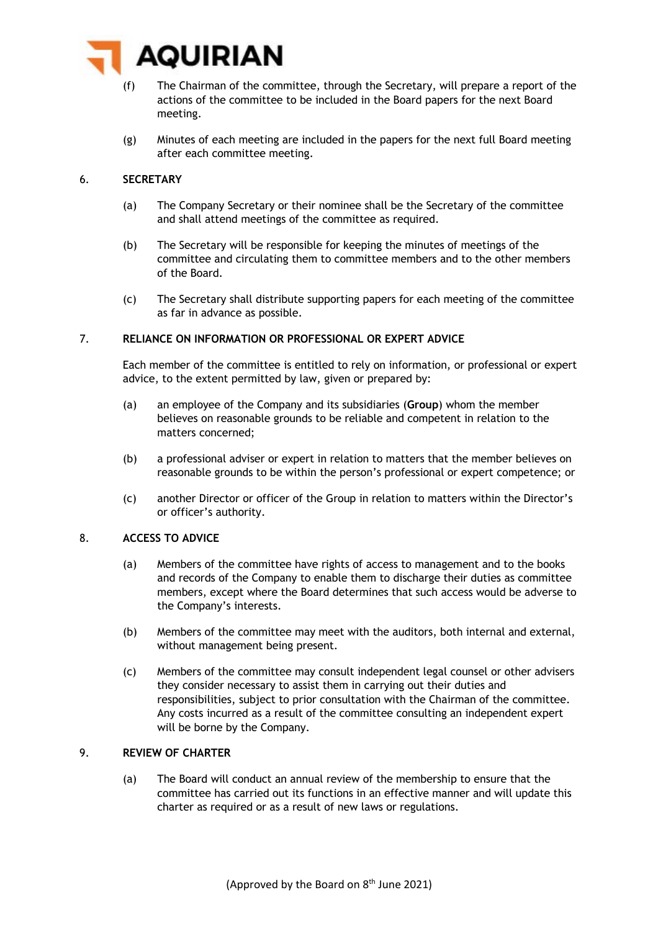

- (f) The Chairman of the committee, through the Secretary, will prepare a report of the actions of the committee to be included in the Board papers for the next Board meeting.
- (g) Minutes of each meeting are included in the papers for the next full Board meeting after each committee meeting.

# 6. **SECRETARY**

- (a) The Company Secretary or their nominee shall be the Secretary of the committee and shall attend meetings of the committee as required.
- (b) The Secretary will be responsible for keeping the minutes of meetings of the committee and circulating them to committee members and to the other members of the Board.
- (c) The Secretary shall distribute supporting papers for each meeting of the committee as far in advance as possible.

### 7. **RELIANCE ON INFORMATION OR PROFESSIONAL OR EXPERT ADVICE**

Each member of the committee is entitled to rely on information, or professional or expert advice, to the extent permitted by law, given or prepared by:

- (a) an employee of the Company and its subsidiaries (**Group**) whom the member believes on reasonable grounds to be reliable and competent in relation to the matters concerned;
- (b) a professional adviser or expert in relation to matters that the member believes on reasonable grounds to be within the person's professional or expert competence; or
- (c) another Director or officer of the Group in relation to matters within the Director's or officer's authority.

# 8. **ACCESS TO ADVICE**

- (a) Members of the committee have rights of access to management and to the books and records of the Company to enable them to discharge their duties as committee members, except where the Board determines that such access would be adverse to the Company's interests.
- (b) Members of the committee may meet with the auditors, both internal and external, without management being present.
- (c) Members of the committee may consult independent legal counsel or other advisers they consider necessary to assist them in carrying out their duties and responsibilities, subject to prior consultation with the Chairman of the committee. Any costs incurred as a result of the committee consulting an independent expert will be borne by the Company.

### 9. **REVIEW OF CHARTER**

(a) The Board will conduct an annual review of the membership to ensure that the committee has carried out its functions in an effective manner and will update this charter as required or as a result of new laws or regulations.